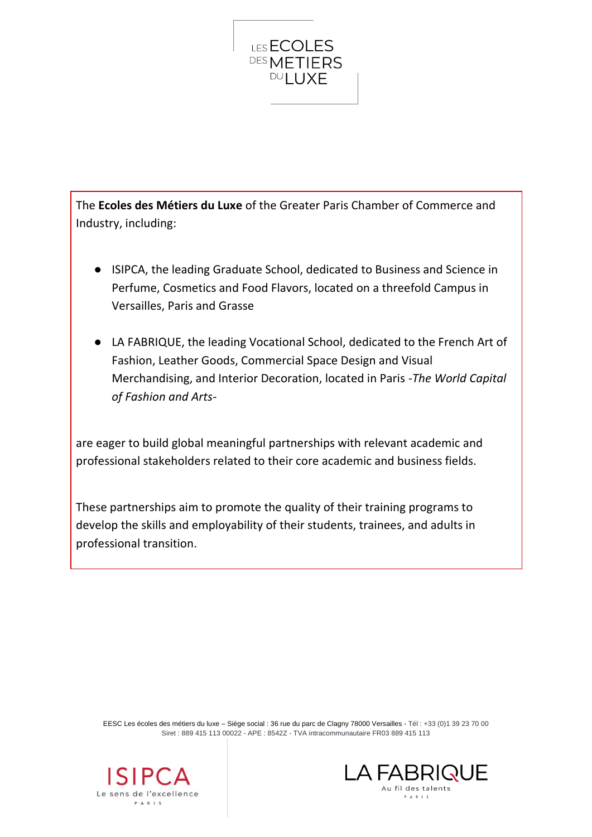

The **Ecoles des Métiers du Luxe** of the Greater Paris Chamber of Commerce and Industry, including:

- ISIPCA, the leading Graduate School, dedicated to Business and Science in Perfume, Cosmetics and Food Flavors, located on a threefold Campus in Versailles, Paris and Grasse
- LA FABRIQUE, the leading Vocational School, dedicated to the French Art of Fashion, Leather Goods, Commercial Space Design and Visual Merchandising, and Interior Decoration, located in Paris *-The World Capital of Fashion and Arts-*

are eager to build global meaningful partnerships with relevant academic and professional stakeholders related to their core academic and business fields.

These partnerships aim to promote the quality of their training programs to develop the skills and employability of their students, trainees, and adults in professional transition.

EESC Les écoles des métiers du luxe – Siège social : 36 rue du parc de Clagny 78000 Versailles - Tél : +33 (0)1 39 23 70 00 Siret : 889 415 113 00022 - APE : 8542Z - TVA intracommunautaire FR03 889 415 113